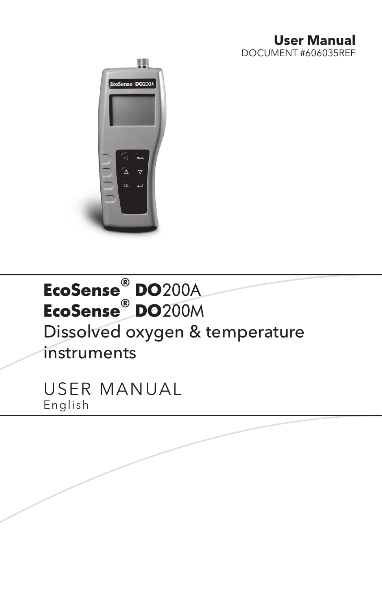#### **User Manual** DOCUMENT #606035REF



# **EcoSense® DO**200A **EcoSense® DO**200M Dissolved oxygen & temperature instruments

USER MANUAL English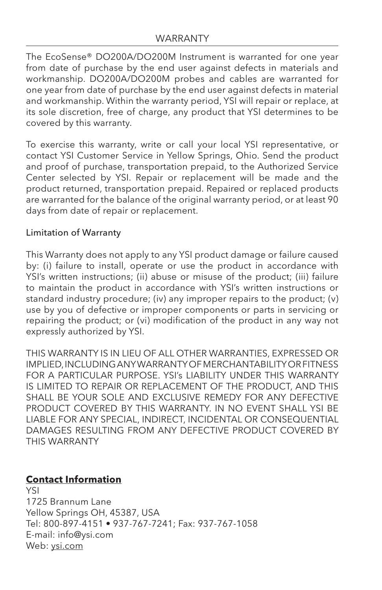The EcoSense® DO200A/DO200M Instrument is warranted for one year from date of purchase by the end user against defects in materials and workmanship. DO200A/DO200M probes and cables are warranted for one year from date of purchase by the end user against defects in material and workmanship. Within the warranty period, YSI will repair or replace, at its sole discretion, free of charge, any product that YSI determines to be covered by this warranty.

To exercise this warranty, write or call your local YSI representative, or contact YSI Customer Service in Yellow Springs, Ohio. Send the product and proof of purchase, transportation prepaid, to the Authorized Service Center selected by YSI. Repair or replacement will be made and the product returned, transportation prepaid. Repaired or replaced products are warranted for the balance of the original warranty period, or at least 90 days from date of repair or replacement.

#### Limitation of Warranty

This Warranty does not apply to any YSI product damage or failure caused by: (i) failure to install, operate or use the product in accordance with YSI's written instructions; (ii) abuse or misuse of the product; (iii) failure to maintain the product in accordance with YSI's written instructions or standard industry procedure; (iv) any improper repairs to the product; (v) use by you of defective or improper components or parts in servicing or repairing the product; or (vi) modification of the product in any way not expressly authorized by YSI.

THIS WARRANTY IS IN LIEU OF ALL OTHER WARRANTIES, EXPRESSED OR IMPLIED, INCLUDING ANY WARRANTY OF MERCHANTABILITY OR FITNESS FOR A PARTICULAR PURPOSE. YSI's LIABILITY UNDER THIS WARRANTY IS LIMITED TO REPAIR OR REPLACEMENT OF THE PRODUCT, AND THIS SHALL BE YOUR SOLE AND EXCLUSIVE REMEDY FOR ANY DEFECTIVE PRODUCT COVERED BY THIS WARRANTY. IN NO EVENT SHALL YSI BE LIABLE FOR ANY SPECIAL, INDIRECT, INCIDENTAL OR CONSEQUENTIAL DAMAGES RESULTING FROM ANY DEFECTIVE PRODUCT COVERED BY THIS WARRANTY

#### **Contact Information**

YSI 1725 Brannum Lane Yellow Springs OH, 45387, USA Tel: 800-897-4151 • 937-767-7241; Fax: 937-767-1058 E-mail: info@ysi.com Web: [ysi.com](https://www.ysi.com/)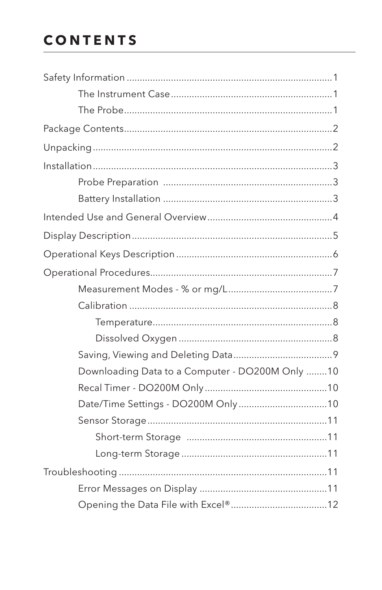## **CONTENTS**

| Downloading Data to a Computer - DO200M Only 10 |  |
|-------------------------------------------------|--|
|                                                 |  |
| Date/Time Settings - DO200M Only10              |  |
|                                                 |  |
|                                                 |  |
|                                                 |  |
|                                                 |  |
|                                                 |  |
|                                                 |  |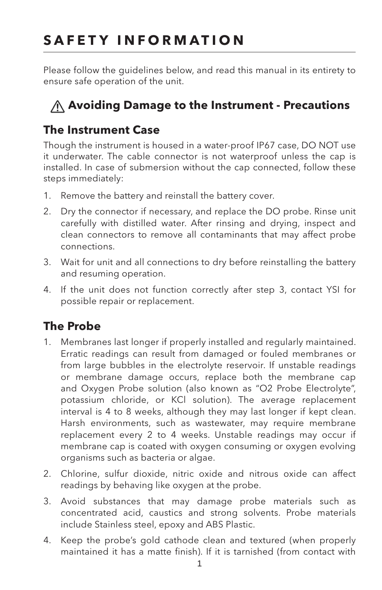## <span id="page-4-0"></span>**SAFETY INFORMATION**

Please follow the guidelines below, and read this manual in its entirety to ensure safe operation of the unit.

## **Avoiding Damage to the Instrument - Precautions**

### **The Instrument Case**

Though the instrument is housed in a water-proof IP67 case, DO NOT use it underwater. The cable connector is not waterproof unless the cap is installed. In case of submersion without the cap connected, follow these steps immediately:

- 1. Remove the battery and reinstall the battery cover.
- 2. Dry the connector if necessary, and replace the DO probe. Rinse unit carefully with distilled water. After rinsing and drying, inspect and clean connectors to remove all contaminants that may affect probe connections.
- 3. Wait for unit and all connections to dry before reinstalling the battery and resuming operation.
- 4. If the unit does not function correctly after step 3, contact YSI for possible repair or replacement.

### **The Probe**

- 1. Membranes last longer if properly installed and regularly maintained. Erratic readings can result from damaged or fouled membranes or from large bubbles in the electrolyte reservoir. If unstable readings or membrane damage occurs, replace both the membrane cap and Oxygen Probe solution (also known as "O2 Probe Electrolyte", potassium chloride, or KCl solution). The average replacement interval is 4 to 8 weeks, although they may last longer if kept clean. Harsh environments, such as wastewater, may require membrane replacement every 2 to 4 weeks. Unstable readings may occur if membrane cap is coated with oxygen consuming or oxygen evolving organisms such as bacteria or algae.
- 2. Chlorine, sulfur dioxide, nitric oxide and nitrous oxide can affect readings by behaving like oxygen at the probe.
- 3. Avoid substances that may damage probe materials such as concentrated acid, caustics and strong solvents. Probe materials include Stainless steel, epoxy and ABS Plastic.
- 4. Keep the probe's gold cathode clean and textured (when properly maintained it has a matte finish). If it is tarnished (from contact with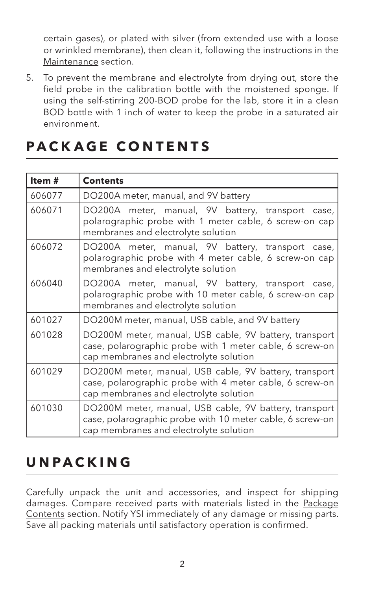<span id="page-5-0"></span>certain gases), or plated with silver (from extended use with a loose or wrinkled membrane), then clean it, following the instructions in the [Maintenance](#page-16-1) section.

5. To prevent the membrane and electrolyte from drying out, store the field probe in the calibration bottle with the moistened sponge. If using the self-stirring 200-BOD probe for the lab, store it in a clean BOD bottle with 1 inch of water to keep the probe in a saturated air environment.

| Item#  | <b>Contents</b>                                                                                                                                               |
|--------|---------------------------------------------------------------------------------------------------------------------------------------------------------------|
| 606077 | DO200A meter, manual, and 9V battery                                                                                                                          |
| 606071 | DO200A meter, manual, 9V battery, transport case,<br>polarographic probe with 1 meter cable, 6 screw-on cap<br>membranes and electrolyte solution             |
| 606072 | DO200A meter, manual, 9V battery, transport case,<br>polarographic probe with 4 meter cable, 6 screw-on cap<br>membranes and electrolyte solution             |
| 606040 | DO200A meter, manual, 9V battery, transport case,<br>polarographic probe with 10 meter cable, 6 screw-on cap<br>membranes and electrolyte solution            |
| 601027 | DO200M meter, manual, USB cable, and 9V battery                                                                                                               |
| 601028 | DO200M meter, manual, USB cable, 9V battery, transport<br>case, polarographic probe with 1 meter cable, 6 screw-on<br>cap membranes and electrolyte solution  |
| 601029 | DO200M meter, manual, USB cable, 9V battery, transport<br>case, polarographic probe with 4 meter cable, 6 screw-on<br>cap membranes and electrolyte solution  |
| 601030 | DO200M meter, manual, USB cable, 9V battery, transport<br>case, polarographic probe with 10 meter cable, 6 screw-on<br>cap membranes and electrolyte solution |

## <span id="page-5-1"></span>**PACKAGE CONTENTS**

## **UNPACKING**

Carefully unpack the unit and accessories, and inspect for shipping damages. Compare received parts with materials listed in the [Package](#page-5-1)  [Contents](#page-5-1) section. Notify YSI immediately of any damage or missing parts. Save all packing materials until satisfactory operation is confirmed.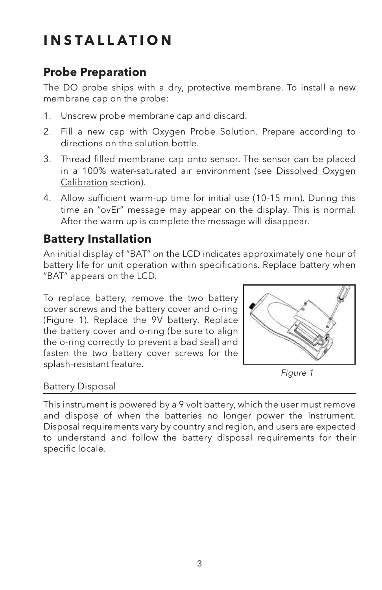### <span id="page-6-0"></span>**Probe Preparation**

The DO probe ships with a dry, protective membrane. To install a new membrane cap on the probe:

- 1. Unscrew probe membrane cap and discard.
- 2. Fill a new cap with Oxygen Probe Solution. Prepare according to directions on the solution bottle.
- 3. Thread filled membrane cap onto sensor. The sensor can be placed in a 100% water-saturated air environment ([see Dissolved Oxygen](#page-11-1) [Calibration section\)](#page-11-1).
- 4. Allow sufficient warm-up time for initial use (10-15 min). During this time an "ovEr" message may appear on the display. This is normal. After the warm up is complete the message will disappear.

### **Battery Installation**

An initial display of "BAT" on the LCD indicates approximately one hour of battery life for unit operation within specifications. Replace battery when "BAT" appears on the LCD.

To replace battery, remove the two battery cover screws and the battery cover and o-ring (Figure 1). Replace the 9V battery. Replace the battery cover and o-ring (be sure to align the o-ring correctly to prevent a bad seal) and fasten the two battery cover screws for the splash-resistant feature.



*Figure 1*

#### Battery Disposal

This instrument is powered by a 9 volt battery, which the user must remove and dispose of when the batteries no longer power the instrument. Disposal requirements vary by country and region, and users are expected to understand and follow the battery disposal requirements for their specific locale.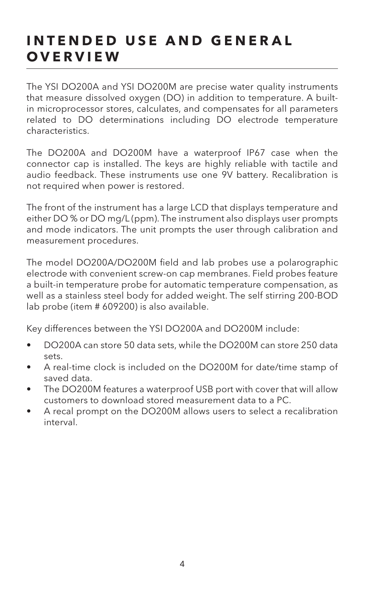## <span id="page-7-0"></span>**INTENDED USE AND GENERAL OVERVIEW**

The YSI DO200A and YSI DO200M are precise water quality instruments that measure dissolved oxygen (DO) in addition to temperature. A builtin microprocessor stores, calculates, and compensates for all parameters related to DO determinations including DO electrode temperature characteristics.

The DO200A and DO200M have a waterproof IP67 case when the connector cap is installed. The keys are highly reliable with tactile and audio feedback. These instruments use one 9V battery. Recalibration is not required when power is restored.

The front of the instrument has a large LCD that displays temperature and either DO % or DO mg/L (ppm). The instrument also displays user prompts and mode indicators. The unit prompts the user through calibration and measurement procedures.

The model DO200A/DO200M field and lab probes use a polarographic electrode with convenient screw-on cap membranes. Field probes feature a built-in temperature probe for automatic temperature compensation, as well as a stainless steel body for added weight. The self stirring 200-BOD lab probe (item # 609200) is also available.

Key differences between the YSI DO200A and DO200M include:

- DO200A can store 50 data sets, while the DO200M can store 250 data sets.
- A real-time clock is included on the DO200M for date/time stamp of saved data.
- The DO200M features a waterproof USB port with cover that will allow customers to download stored measurement data to a PC.
- A recal prompt on the DO200M allows users to select a recalibration interval.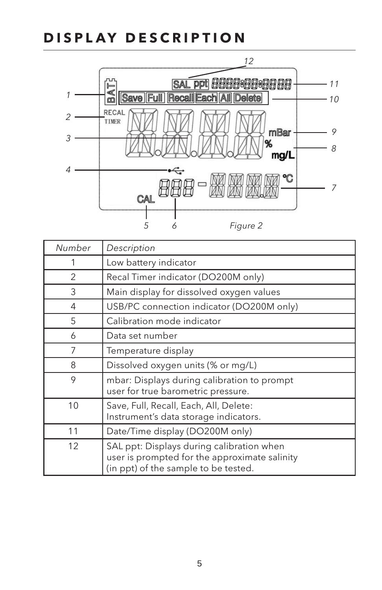### <span id="page-8-0"></span>**DISPLAY DESCRIPTION**



| Number | Description                                                                                                                        |
|--------|------------------------------------------------------------------------------------------------------------------------------------|
| 1      | Low battery indicator                                                                                                              |
| 2      | Recal Timer indicator (DO200M only)                                                                                                |
| 3      | Main display for dissolved oxygen values                                                                                           |
| 4      | USB/PC connection indicator (DO200M only)                                                                                          |
| 5      | Calibration mode indicator                                                                                                         |
| 6      | Data set number                                                                                                                    |
| 7      | Temperature display                                                                                                                |
| 8      | Dissolved oxygen units (% or mg/L)                                                                                                 |
| 9      | mbar: Displays during calibration to prompt<br>user for true barometric pressure.                                                  |
| 10     | Save, Full, Recall, Each, All, Delete:<br>Instrument's data storage indicators.                                                    |
| 11     | Date/Time display (DO200M only)                                                                                                    |
| 12     | SAL ppt: Displays during calibration when<br>user is prompted for the approximate salinity<br>(in ppt) of the sample to be tested. |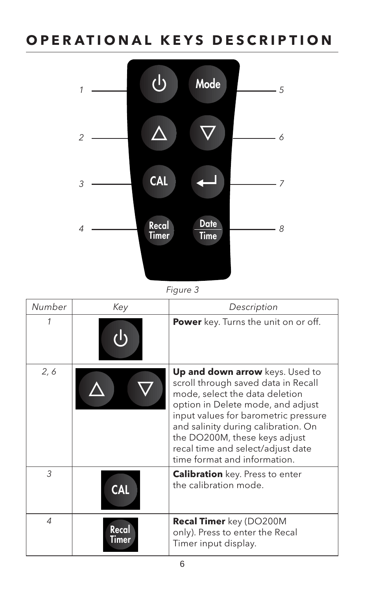## <span id="page-9-0"></span>**OPERATIONAL KEYS DESCRIPTION**



*Figure 3*

| Number         | Key            | Description                                                                                                                                                                                                                                                                                                                        |
|----------------|----------------|------------------------------------------------------------------------------------------------------------------------------------------------------------------------------------------------------------------------------------------------------------------------------------------------------------------------------------|
| 1              |                | Power key. Turns the unit on or off.                                                                                                                                                                                                                                                                                               |
| 2, 6           |                | Up and down arrow keys. Used to<br>scroll through saved data in Recall<br>mode, select the data deletion<br>option in Delete mode, and adjust<br>input values for barometric pressure<br>and salinity during calibration. On<br>the DO200M, these keys adjust<br>recal time and select/adjust date<br>time format and information. |
| 3              | <b>CAL</b>     | <b>Calibration</b> key. Press to enter<br>the calibration mode.                                                                                                                                                                                                                                                                    |
| $\overline{4}$ | Recal<br>Timer | <b>Recal Timer</b> key (DO200M<br>only). Press to enter the Recal<br>Timer input display.                                                                                                                                                                                                                                          |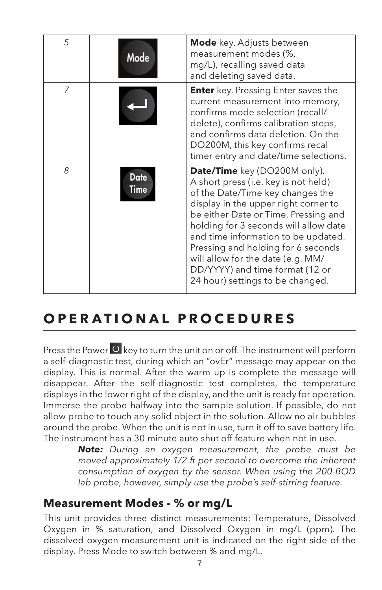<span id="page-10-0"></span>

| 5 | Mode                       | <b>Mode</b> key. Adjusts between<br>measurement modes (%,<br>mg/L), recalling saved data<br>and deleting saved data.                                                                                                                                                                                                                                                                                                       |
|---|----------------------------|----------------------------------------------------------------------------------------------------------------------------------------------------------------------------------------------------------------------------------------------------------------------------------------------------------------------------------------------------------------------------------------------------------------------------|
| 7 |                            | <b>Enter</b> key. Pressing Enter saves the<br>current measurement into memory,<br>confirms mode selection (recall/<br>delete), confirms calibration steps,<br>and confirms data deletion. On the<br>DO200M, this key confirms recal<br>timer entry and date/time selections.                                                                                                                                               |
| 8 | <b>Date</b><br><b>Time</b> | Date/Time key (DO200M only).<br>A short press (i.e. key is not held)<br>of the Date/Time key changes the<br>display in the upper right corner to<br>be either Date or Time. Pressing and<br>holding for 3 seconds will allow date<br>and time information to be updated.<br>Pressing and holding for 6 seconds<br>will allow for the date (e.g. MM/<br>DD/YYYY) and time format (12 or<br>24 hour) settings to be changed. |

## **OPERATIONAL PROCEDURES**

displays in the lower right of the display, and the unit is ready for operation. anow probe to touch any sond object in the solution. Allow ho air bubbles<br>around the probe. When the unit is not in use, turn it off to save battery life. Press the Power  $\stackrel{\text{(b)}}{ }$  key to turn the unit on or off. The instrument will perform a self-diagnostic test, during which an "ovEr" message may appear on the Improgrammers to all the suppregnation of the sample solution. If possible, do not allow probe to touch any solid object in the solution. Allow no air bubbles display. This is normal. After the warm up is complete the message will disappear. After the self-diagnostic test completes, the temperature The instrument has a 30 minute auto shut off feature when not in use.

Reverse white all other imagery *Note: During an oxygen measurement, the probe must be moved approximately 1/2 ft per second to overcome the inherent consumption of oxygen by the sensor. When using the 200-BOD lab probe, however, simply use the probe's self-stirring feature.*

### **Measurement Modes - % or mg/L**

This unit provides three distinct measurements: Temperature, Dissolved **colors:** Black background Oxygen in % saturation, and Dissolved Oxygen in mg/L (ppm). The dissolved oxygen measurement unit is indicated on the right side of the display. Press Mode to switch between % and mg/L.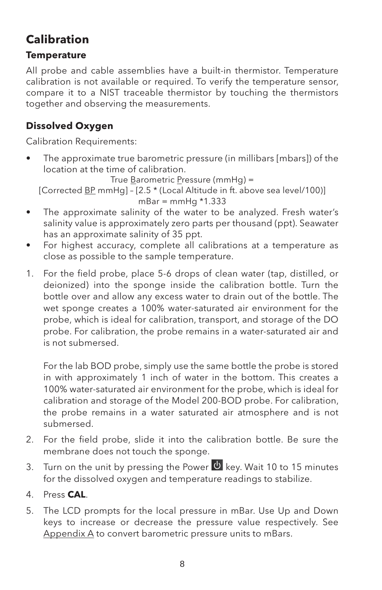### <span id="page-11-0"></span>**Calibration**

#### **Temperature**

All probe and cable assemblies have a built-in thermistor. Temperature calibration is not available or required. To verify the temperature sensor, compare it to a NIST traceable thermistor by touching the thermistors together and observing the measurements.

#### <span id="page-11-1"></span>**Dissolved Oxygen**

Calibration Requirements:

• The approximate true barometric pressure (in millibars [mbars]) of the location at the time of calibration.

True Barometric Pressure (mmHg) =

[Corrected BP mmHg] – [2.5 \* (Local Altitude in ft. above sea level/100)]  $mBar = mmHg * 1.333$ 

- The approximate salinity of the water to be analyzed. Fresh water's salinity value is approximately zero parts per thousand (ppt). Seawater has an approximate salinity of 35 ppt.
- For highest accuracy, complete all calibrations at a temperature as close as possible to the sample temperature.
- 1. For the field probe, place 5-6 drops of clean water (tap, distilled, or deionized) into the sponge inside the calibration bottle. Turn the bottle over and allow any excess water to drain out of the bottle. The wet sponge creates a 100% water-saturated air environment for the probe, which is ideal for calibration, transport, and storage of the DO probe. For calibration, the probe remains in a water-saturated air and is not submersed.

For the lab BOD probe, simply use the same bottle the probe is stored in with approximately 1 inch of water in the bottom. This creates a 100% water-saturated air environment for the probe, which is ideal for calibration and storage of the Model 200-BOD probe. For calibration, the probe remains in a water saturated air atmosphere and is not submersed.

- 2. For the field probe, slide it into the calibration bottle. Be sure the membrane does not touch the sponge.
- 3. Turn on the unit by pressing the Power  $\bullet$  key. Wait 10 to 15 minutes for the dissolved oxygen and temperature readings to stabilize.
- 4. Press **CAL**.
- keys to increase or decrease the pressure value respectively. See 5. The LCD prompts for the local pressure in mBar. Use Up and Down <u>[Appendix A](#page-19-0)</u> to convert barometric pressure units to mBars.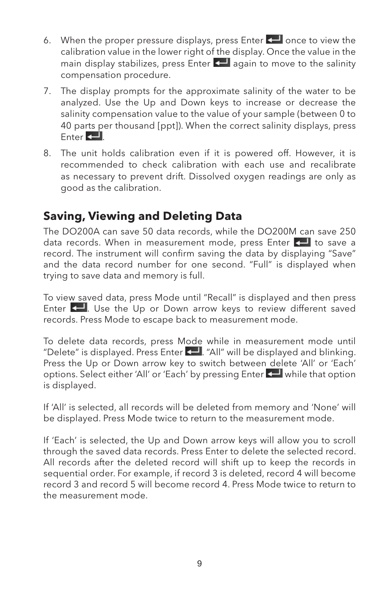- <span id="page-12-0"></span>6. When the proper pressure displays, press Enter  $\leftarrow$  once to view the calibration value in the lower right of the display. Once the value in the main display stabilizes, press Enter  $\leftarrow$  again to move to the salinity compensation procedure.
- 7. The display prompts for the approximate salinity of the water to be analyzed. Use the Up and Down keys to increase or decrease the salinity compensation value to the value of your sample (between 0 to 40 parts per thousand [ppt]). When the correct salinity displays, press  $Enter$  $\leftarrow$
- 8. The unit holds calibration even if it is powered off. However, it is recommended to check calibration with each use and recalibrate as necessary to prevent drift. Dissolved oxygen readings are only as good as the calibration.

### **Saving, Viewing and Deleting Data**

The DO200A can save 50 data records, while the DO200M can save 250 data records. When in measurement mode, press Enter  $\leftarrow$  to save a record. The instrument will confirm saving the data by displaying "Save" and the data record number for one second. "Full" is displayed when trying to save data and memory is full.

To view saved data, press Mode until "Recall" is displayed and then press Enter  $\leftarrow$  Use the Up or Down arrow keys to review different saved records. Press Mode to escape back to measurement mode.

To delete data records, press Mode while in measurement mode until "Delete" is displayed. Press Enter ... "All" will be displayed and blinking. Press the Up or Down arrow key to switch between delete 'All' or 'Each' options. Select either 'All' or 'Each' by pressing Enter  $\leftarrow$  while that option is displayed.

If 'All' is selected, all records will be deleted from memory and 'None' will be displayed. Press Mode twice to return to the measurement mode.

If 'Each' is selected, the Up and Down arrow keys will allow you to scroll through the saved data records. Press Enter to delete the selected record. All records after the deleted record will shift up to keep the records in sequential order. For example, if record 3 is deleted, record 4 will become record 3 and record 5 will become record 4. Press Mode twice to return to the measurement mode.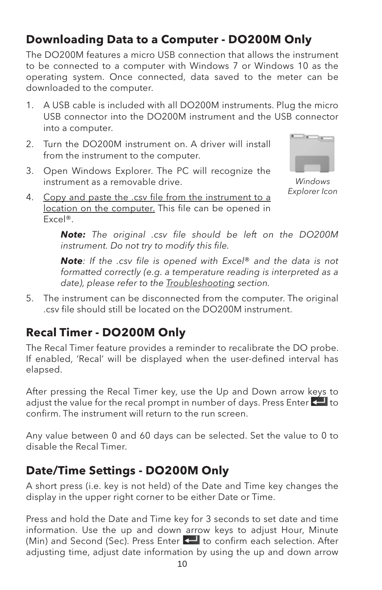### <span id="page-13-0"></span>**Downloading Data to a Computer - DO200M Only**

The DO200M features a micro USB connection that allows the instrument to be connected to a computer with Windows 7 or Windows 10 as the operating system. Once connected, data saved to the meter can be downloaded to the computer.

- 1. A USB cable is included with all DO200M instruments. Plug the micro USB connector into the DO200M instrument and the USB connector into a computer.
- 2. Turn the DO200M instrument on. A driver will install from the instrument to the computer.
- 3. Open Windows Explorer. The PC will recognize the instrument as a removable drive.



*Windows Explorer Icon*

4. Copy and paste the .csv file from the instrument to a location on the computer. This file can be opened in Excel®.

> *Note: The original .csv file should be left on the DO200M instrument. Do not try to modify this file.*

> *Note: If the .csv file is opened with Excel*® *and the data is not formatted correctly (e.g. a temperature reading is interpreted as a date), please refer to the [Troubleshooting](#page-14-1) section.*

5. The instrument can be disconnected from the computer. The original .csv file should still be located on the DO200M instrument.

### **Recal Timer - DO200M Only**

The Recal Timer feature provides a reminder to recalibrate the DO probe. If enabled, 'Recal' will be displayed when the user-defined interval has elapsed.

After pressing the Recal Timer key, use the Up and Down arrow keys to adjust the value for the recal prompt in number of days. Press Enter  $\leftarrow$  to confirm. The instrument will return to the run screen.

Any value between 0 and 60 days can be selected. Set the value to 0 to disable the Recal Timer.

### **Date/Time Settings - DO200M Only**

A short press (i.e. key is not held) of the Date and Time key changes the display in the upper right corner to be either Date or Time.

Press and hold the Date and Time key for 3 seconds to set date and time information. Use the up and down arrow keys to adjust Hour, Minute (Min) and Second (Sec). Press Enter **to** to confirm each selection. After adjusting time, adjust date information by using the up and down arrow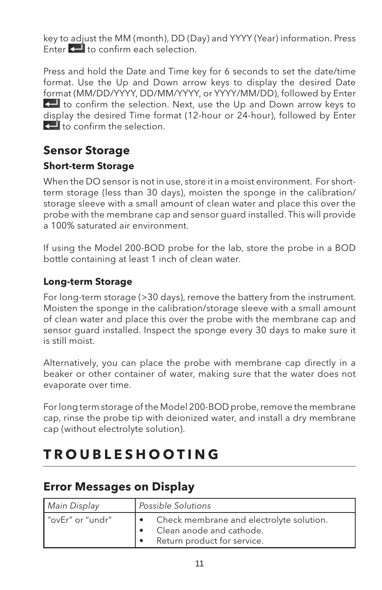<span id="page-14-0"></span>key to adjust the MM (month), DD (Day) and YYYY (Year) information. Press Enter  $\leftarrow$  to confirm each selection.

Press and hold the Date and Time key for 6 seconds to set the date/time format. Use the Up and Down arrow keys to display the desired Date format (MM/DD/YYYY, DD/MM/YYYY, or YYYY/MM/DD), followed by Enter to confirm the selection. Next, use the Up and Down arrow keys to display the desired Time format (12-hour or 24-hour), followed by Enter  $\Box$  to confirm the selection.

### **Sensor Storage**

#### **Short-term Storage**

When the DO sensor is not in use, store it in a moist environment. For shortterm storage (less than 30 days), moisten the sponge in the calibration/ storage sleeve with a small amount of clean water and place this over the probe with the membrane cap and sensor guard installed. This will provide a 100% saturated air environment.

If using the Model 200-BOD probe for the lab, store the probe in a BOD bottle containing at least 1 inch of clean water.

#### **Long-term Storage**

For long-term storage (>30 days), remove the battery from the instrument. Moisten the sponge in the calibration/storage sleeve with a small amount of clean water and place this over the probe with the membrane cap and sensor guard installed. Inspect the sponge every 30 days to make sure it is still moist.

Alternatively, you can place the probe with membrane cap directly in a beaker or other container of water, making sure that the water does not evaporate over time.

For long term storage of the Model 200-BOD probe, remove the membrane cap, rinse the probe tip with deionized water, and install a dry membrane cap (without electrolyte solution).

## <span id="page-14-1"></span>**TROUBLESHOOTING**

#### **Error Messages on Display**

| Main Display       | Possible Solutions                                                                                  |  |
|--------------------|-----------------------------------------------------------------------------------------------------|--|
| l "ovEr" or "undr" | Check membrane and electrolyte solution.<br>Clean anode and cathode.<br>Return product for service. |  |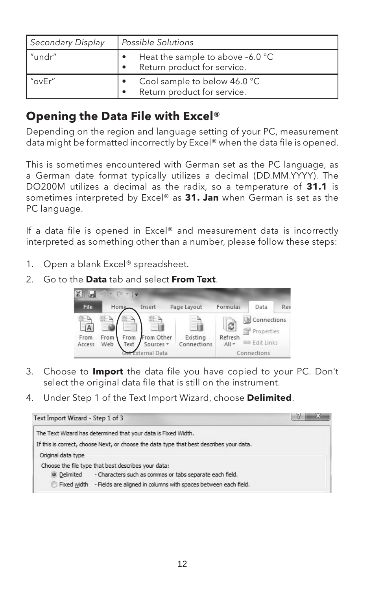<span id="page-15-0"></span>

| Secondary Display | l Possible Solutions                                            |  |
|-------------------|-----------------------------------------------------------------|--|
| l "undr"          | Heat the sample to above -6.0 °C<br>Return product for service. |  |
| l "ovEr"          | Cool sample to below 46.0 °C<br>Return product for service.     |  |

### **Opening the Data File with Excel®**

Depending on the region and language setting of your PC, measurement data might be formatted incorrectly by Excel® when the data file is opened.

This is sometimes encountered with German set as the PC language, as a German date format typically utilizes a decimal (DD.MM.YYYY). The DO200M utilizes a decimal as the radix, so a temperature of **31.1** is sometimes interpreted by Excel® as **31. Jan** when German is set as the PC language.

If a data file is opened in Excel® and measurement data is incorrectly interpreted as something other than a number, please follow these steps:

- 1. Open a blank Excel® spreadsheet.
- 2. Go to the **Data** tab and select **From Text**.



- 3. Choose to **Import** the data file you have copied to your PC. Don't select the original data file that is still on the instrument.
- 4. Under Step 1 of the Text Import Wizard, choose **Delimited**.

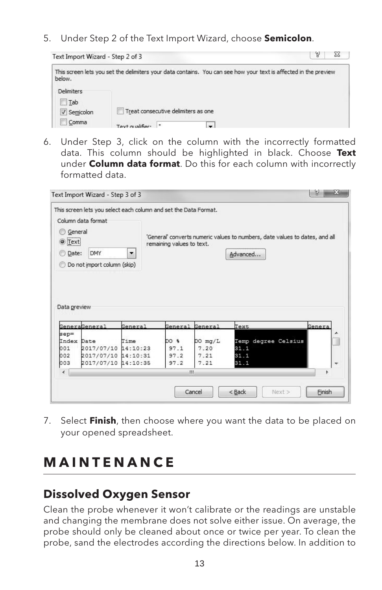<span id="page-16-0"></span>5. Under Step 2 of the Text Import Wizard, choose **Semicolon**.



6. Under Step 3, click on the column with the incorrectly formatted data. This column should be highlighted in black. Choose **Text** under **Column data format**. Do this for each column with incorrectly formatted data.

|                                                                          | This screen lets you select each column and set the Data Format. |                      |                           |             |                                                                             |        |
|--------------------------------------------------------------------------|------------------------------------------------------------------|----------------------|---------------------------|-------------|-----------------------------------------------------------------------------|--------|
|                                                                          | Column data format                                               |                      |                           |             |                                                                             |        |
| General                                                                  |                                                                  |                      |                           |             |                                                                             |        |
|                                                                          |                                                                  |                      |                           |             | 'General' converts numeric values to numbers, date values to dates, and all |        |
| $\odot$ Text                                                             |                                                                  |                      | remaining values to text. |             |                                                                             |        |
| <b>Date:</b>                                                             | <b>DMY</b>                                                       | $\blacktriangledown$ |                           |             | Advanced                                                                    |        |
|                                                                          | Do not import column (skip)                                      |                      |                           |             |                                                                             |        |
|                                                                          |                                                                  |                      |                           |             |                                                                             |        |
|                                                                          |                                                                  |                      |                           |             |                                                                             |        |
|                                                                          | <b>GeneraGeneral</b>                                             | General              | General General           |             | Text                                                                        | Genera |
|                                                                          |                                                                  |                      |                           |             |                                                                             |        |
|                                                                          |                                                                  | Time                 | DO %                      | $DO$ $mq/L$ | Temp degree Celsius                                                         |        |
|                                                                          | 2017/07/10 14:10:23                                              |                      | 97.1                      | 7.20        | 31.1                                                                        |        |
|                                                                          | 2017/07/10 14:10:31                                              |                      | 97.2                      | 7.21        | 31.1                                                                        |        |
|                                                                          | 2017/07/10 14:10:35                                              |                      | 97.2                      | 7.21        | 31.1                                                                        | ٠      |
| Data preview<br>$sep =$<br>Index Date<br>001<br>002<br>003<br>$\epsilon$ |                                                                  |                      | m                         |             |                                                                             |        |
|                                                                          |                                                                  |                      |                           |             |                                                                             |        |

7. Select **Finish**, then choose where you want the data to be placed on your opened spreadsheet.

## <span id="page-16-1"></span>**M A I N T E N A N C E**

### **Dissolved Oxygen Sensor**

Clean the probe whenever it won't calibrate or the readings are unstable and changing the membrane does not solve either issue. On average, the probe should only be cleaned about once or twice per year. To clean the probe, sand the electrodes according the directions below. In addition to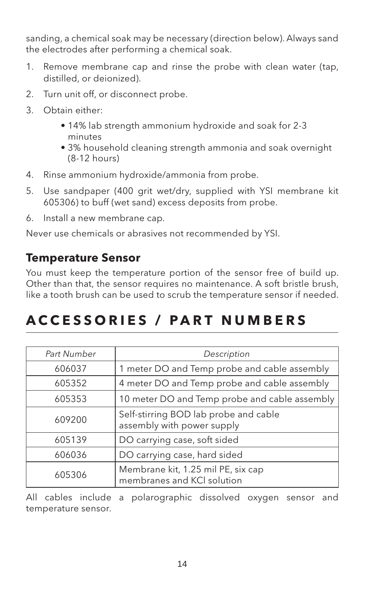<span id="page-17-0"></span>sanding, a chemical soak may be necessary (direction below). Always sand the electrodes after performing a chemical soak.

- 1. Remove membrane cap and rinse the probe with clean water (tap, distilled, or deionized).
- 2. Turn unit off, or disconnect probe.
- 3. Obtain either:
	- 14% lab strength ammonium hydroxide and soak for 2-3 minutes
	- 3% household cleaning strength ammonia and soak overnight (8-12 hours)
- 4. Rinse ammonium hydroxide/ammonia from probe.
- 5. Use sandpaper (400 grit wet/dry, supplied with YSI membrane kit 605306) to buff (wet sand) excess deposits from probe.
- 6. Install a new membrane cap.

Never use chemicals or abrasives not recommended by YSI.

### **Temperature Sensor**

You must keep the temperature portion of the sensor free of build up. Other than that, the sensor requires no maintenance. A soft bristle brush, like a tooth brush can be used to scrub the temperature sensor if needed.

## **ACCESSORIES / PART NUMBERS**

| Part Number | Description                                                         |
|-------------|---------------------------------------------------------------------|
| 606037      | 1 meter DO and Temp probe and cable assembly                        |
| 605352      | 4 meter DO and Temp probe and cable assembly                        |
| 605353      | 10 meter DO and Temp probe and cable assembly                       |
| 609200      | Self-stirring BOD lab probe and cable<br>assembly with power supply |
| 605139      | DO carrying case, soft sided                                        |
| 606036      | DO carrying case, hard sided                                        |
| 605306      | Membrane kit, 1.25 mil PE, six cap<br>membranes and KCI solution    |

All cables include a polarographic dissolved oxygen sensor and temperature sensor.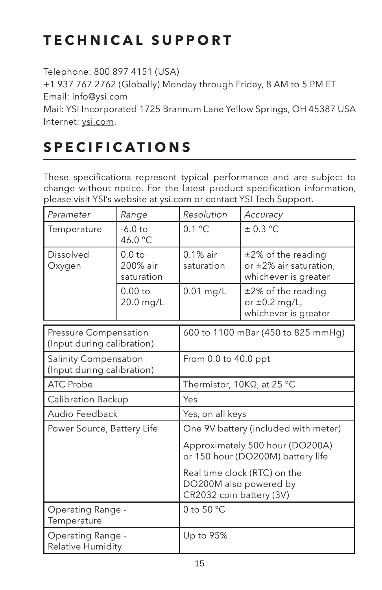## <span id="page-18-0"></span>**TECHNICAL SUPPORT**

Telephone: 800 897 4151 (USA)

+1 937 767 2762 (Globally) Monday through Friday, 8 AM to 5 PM ET Email: info@ysi.com

Mail: YSI Incorporated 1725 Brannum Lane Yellow Springs, OH 45387 USA Internet: [ysi.com](https://www.ysi.com/).

## **SPECIFICATIONS**

These specifications represent typical performance and are subject to change without notice. For the latest product specification information, please visit YSI's website at ysi.com or contact YSI Tech Support.

| Parameter                    | Range                                       | Resolution                | Accuracy                                                                        |
|------------------------------|---------------------------------------------|---------------------------|---------------------------------------------------------------------------------|
| Temperature                  | $-6.0$ to<br>46.0 °C                        | $0.1 \degree C$           | $\pm$ 0.3 °C                                                                    |
| Dissolved<br>  Oxygen        | 0.0 <sub>to</sub><br>200% air<br>saturation | $0.1\%$ air<br>saturation | $\pm$ 2% of the reading<br>or $\pm 2\%$ air saturation,<br>whichever is greater |
|                              | $0.00$ to<br>20.0 mg/L                      | $0.01$ mg/L               | $±2\%$ of the reading<br>or $\pm 0.2$ mg/L,<br>whichever is greater             |
| <b>Pressure Compensation</b> |                                             |                           | 600 to 1100 mBar (450 to 825 mmHg)                                              |

| Pressure Compensation<br>(Input during calibration)        | $600$ to 1100 mBar (450 to 825 mmHq)                                               |  |
|------------------------------------------------------------|------------------------------------------------------------------------------------|--|
| <b>Salinity Compensation</b><br>(Input during calibration) | From $0.0$ to $40.0$ ppt                                                           |  |
| ATC Probe                                                  | Thermistor, $10K\Omega$ , at 25 °C                                                 |  |
| Calibration Backup                                         | Yes                                                                                |  |
| Audio Feedback                                             | Yes, on all keys                                                                   |  |
| Power Source, Battery Life                                 | One 9V battery (included with meter)<br>Approximately 500 hour (DO200A)            |  |
|                                                            | or 150 hour (DO200M) battery life                                                  |  |
|                                                            | Real time clock (RTC) on the<br>DO200M also powered by<br>CR2032 coin battery (3V) |  |
| Operating Range -<br>Temperature                           | 0 to 50 $\degree$ C                                                                |  |
| Operating Range -<br><b>Relative Humidity</b>              | Up to 95%                                                                          |  |